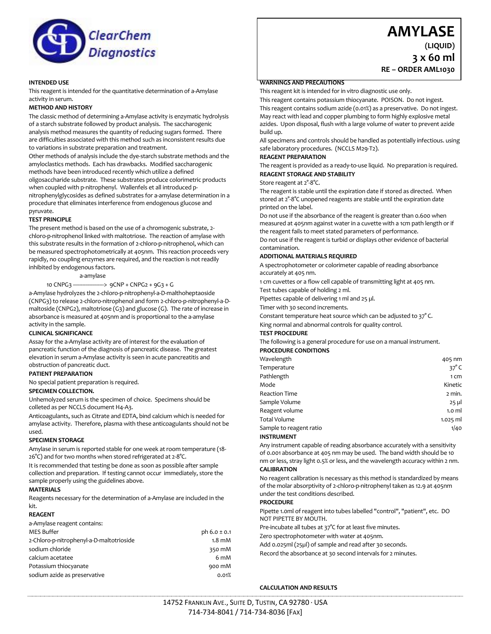

# **AMYLASE**

**RE – ORDER AML1030**

**(LIQUID) 3 x 60 ml**

**INTENDED USE**

This reagent is intended for the quantitative determination of a-Amylase activity in serum.

## **METHOD AND HISTORY**

The classic method of determining a-Amylase activity is enzymatic hydrolysis of a starch substrate followed by product analysis. The saccharogenic analysis method measures the quantity of reducing sugars formed. There are difficulties associated with this method such as inconsistent results due to variations in substrate preparation and treatment.

Other methods of analysis include the dye-starch substrate methods and the amyloclastics methods. Each has drawbacks. Modified saccharogenic methods have been introduced recently which utilize a defined oligosaccharide substrate. These substrates produce colorimetric products when coupled with p-nitrophenyl. Wallenfels et all introduced pnitrophenylglycosides as defined substrates for a-amylase determination in a procedure that eliminates interference from endogenous glucose and pyruvate.

#### **TEST PRINCIPLE**

The present method is based on the use of a chromogenic substrate, 2 chloro-p-nitrophenol linked with maltotriose. The reaction of amylase with this substrate results in the formation of 2-chloro-p-nitrophenol, which can be measured spectrophotometrically at 405nm. This reaction proceeds very rapidly, no coupling enzymes are required, and the reaction is not readily inhibited by endogenous factors.

## a-amylase

#### 10 CNPG3 --------------------> 9CNP + CNPG2 + 9G3 + G

a-Amylase hydrolyzes the 2-chloro-p-nitrophenyl-a-D-malthoheptaoside (CNPG3) to release 2-chloro-nitrophenol and form 2-chloro-p-nitrophenyl-a-Dmaltoside (CNPG2), maltotriose (G3) and glucose (G). The rate of increase in absorbance is measured at 405nm and is proportional to the a-amylase activity in the sample.

#### **CLINICAL SIGNIFICANCE**

Assay for the a-Amylase activity are of interest for the evaluation of pancreatic function of the diagnosis of pancreatic disease. The greatest elevation in serum a-Amylase activity is seen in acute pancreatitis and obstruction of pancreatic duct.

#### **PATIENT PREPARATION**

No special patient preparation is required.

#### **SPECIMEN COLLECTION.**

Unhemolyzed serum is the specimen of choice. Specimens should be colleted as per NCCLS document H4-A3.

Anticoagulants, such as Citrate and EDTA, bind calcium which is needed for amylase activity. Therefore, plasma with these anticoagulants should not be used.

#### **SPECIMEN STORAGE**

Amylase in serum is reported stable for one week at room temperature (18- 26°C) and for two months when stored refrigerated at 2-8°C.

It is recommended that testing be done as soon as possible after sample collection and preparation. If testing cannot occur immediately, store the sample properly using the guidelines above.

#### **MATERIALS**

Reagents necessary for the determination of a-Amylase are included in the kit.

#### **REAGENT**

| a-Amylase reagent contains:              |                  |
|------------------------------------------|------------------|
| <b>MES Buffer</b>                        | ph $6.0 \pm 0.1$ |
| 2-Chloro-p-nitrophenyl-a-D-maltotrioside | $1.8 \text{ mM}$ |
| sodium chloride                          | 350 mM           |
| calcium acetatee                         | 6 mM             |
| Potassium thiocyanate                    | 900 mM           |
| sodium azide as preservative             | 0.01%            |
|                                          |                  |

#### **WARNINGS AND PRECAUTIONS**

This reagent kit is intended for in vitro diagnostic use only.

This reagent contains potassium thiocyanate. POISON. Do not ingest. This reagent contains sodium azide (0.01%) as a preservative. Do not ingest. May react with lead and copper plumbing to form highly explosive metal azides. Upon disposal, flush with a large volume of water to prevent azide build up.

All specimens and controls should be handled as potentially infectious. using safe laboratory procedures. (NCCLS M29-T2).

## **REAGENT PREPARATION**

The reagent is provided as a ready-to-use liquid. No preparation is required. **REAGENT STORAGE AND STABILITY**

#### Store reagent at  $2^{\circ}\text{-}8^{\circ}\text{C}$ .

The reagent is stable until the expiration date if stored as directed. When stored at 2°-8°C unopened reagents are stable until the expiration date printed on the label.

Do not use if the absorbance of the reagent is greater than 0.600 when measured at 405nm against water in a cuvette with a 1cm path length or if the reagent fails to meet stated parameters of performance.

Do not use if the reagent is turbid or displays other evidence of bacterial contamination.

#### **ADDITIONAL MATERIALS REQUIRED**

A spectrophotometer or colorimeter capable of reading absorbance accurately at 405 nm.

1 cm cuvettes or a flow cell capable of transmitting light at 405 nm.

Test tubes capable of holding 2 ml.

Pipettes capable of delivering 1 ml and 25 µl.

Timer with 30 second increments.

Constant temperature heat source which can be adjusted to 37° C. King normal and abnormal controls for quality control.

#### **TEST PROCEDURE**

#### The following is a general procedure for use on a manual instrument. **PROCEDURE CONDITIONS**

| Wavelength              | 405 nm           |
|-------------------------|------------------|
| Temperature             | $37^\circ$ C     |
| Pathlength              | 1 Cm             |
| Mode                    | Kinetic          |
| <b>Reaction Time</b>    | 2 min.           |
| Sample Volume           | $25$ µl          |
| Reagent volume          | 1.0 <sub>m</sub> |
| Total Volume            | $1.025$ ml       |
| Sample to reagent ratio | 1/40             |
| <b>INSTRUMENT</b>       |                  |

#### **INSTRUMENT**

Any instrument capable of reading absorbance accurately with a sensitivity of 0.001 absorbance at 405 nm may be used. The band width should be 10 nm or less, stray light 0.5% or less, and the wavelength accuracy within 2 nm.

#### **CALIBRATION**

No reagent calibration is necessary as this method is standardized by means of the molar absorptivity of 2-chloro-p-nitrophenyl taken as 12.9 at 405nm under the test conditions described.

#### **PROCEDURE**

Pipette 1.0ml of reagent into tubes labelled "control", "patient", etc. DO NOT PIPETTE BY MOUTH.

Pre-incubate all tubes at 37°C for at least five minutes.

Zero spectrophotometer with water at 405nm.

Add 0.025ml (25µl) of sample and read after 30 seconds.

Record the absorbance at 30 second intervals for 2 minutes.

#### **CALCULATION AND RESULTS**